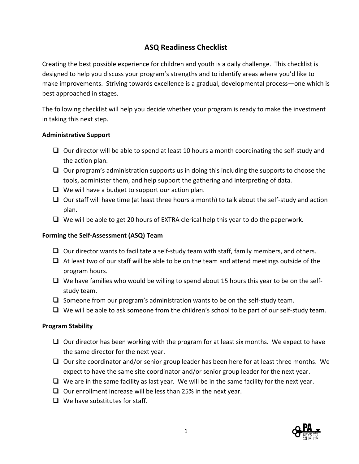# **ASQ Readiness Checklist**

Creating the best possible experience for children and youth is a daily challenge. This checklist is designed to help you discuss your program's strengths and to identify areas where you'd like to make improvements. Striving towards excellence is a gradual, developmental process—one which is best approached in stages.

The following checklist will help you decide whether your program is ready to make the investment in taking this next step.

#### **Administrative Support**

- $\Box$  Our director will be able to spend at least 10 hours a month coordinating the self-study and the action plan.
- $\Box$  Our program's administration supports us in doing this including the supports to choose the tools, administer them, and help support the gathering and interpreting of data.
- $\Box$  We will have a budget to support our action plan.
- $\Box$  Our staff will have time (at least three hours a month) to talk about the self-study and action plan.
- $\Box$  We will be able to get 20 hours of EXTRA clerical help this year to do the paperwork.

# **Forming the Self-Assessment (ASQ) Team**

- $\Box$  Our director wants to facilitate a self-study team with staff, family members, and others.
- $\Box$  At least two of our staff will be able to be on the team and attend meetings outside of the program hours.
- $\Box$  We have families who would be willing to spend about 15 hours this year to be on the selfstudy team.
- $\Box$  Someone from our program's administration wants to be on the self-study team.
- $\Box$  We will be able to ask someone from the children's school to be part of our self-study team.

# **Program Stability**

- $\Box$  Our director has been working with the program for at least six months. We expect to have the same director for the next year.
- $\Box$  Our site coordinator and/or senior group leader has been here for at least three months. We expect to have the same site coordinator and/or senior group leader for the next year.
- $\Box$  We are in the same facility as last year. We will be in the same facility for the next year.
- $\Box$  Our enrollment increase will be less than 25% in the next year.
- $\Box$  We have substitutes for staff.

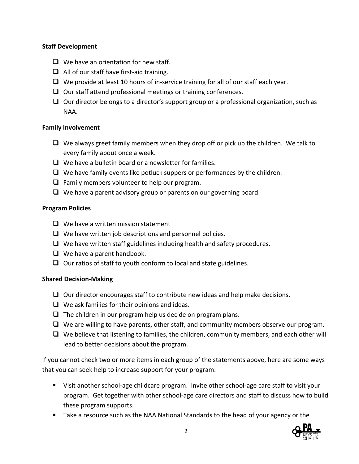# **Staff Development**

- $\Box$  We have an orientation for new staff.
- $\Box$  All of our staff have first-aid training.
- $\Box$  We provide at least 10 hours of in-service training for all of our staff each year.
- $\Box$  Our staff attend professional meetings or training conferences.
- $\Box$  Our director belongs to a director's support group or a professional organization, such as NAA.

# **Family Involvement**

- $\Box$  We always greet family members when they drop off or pick up the children. We talk to every family about once a week.
- $\Box$  We have a bulletin board or a newsletter for families.
- $\Box$  We have family events like potluck suppers or performances by the children.
- $\Box$  Family members volunteer to help our program.
- $\Box$  We have a parent advisory group or parents on our governing board.

# **Program Policies**

- $\Box$  We have a written mission statement
- $\Box$  We have written job descriptions and personnel policies.
- $\Box$  We have written staff guidelines including health and safety procedures.
- $\Box$  We have a parent handbook.
- $\Box$  Our ratios of staff to youth conform to local and state guidelines.

# **Shared Decision-Making**

- $\Box$  Our director encourages staff to contribute new ideas and help make decisions.
- $\Box$  We ask families for their opinions and ideas.
- $\Box$  The children in our program help us decide on program plans.
- $\Box$  We are willing to have parents, other staff, and community members observe our program.
- $\Box$  We believe that listening to families, the children, community members, and each other will lead to better decisions about the program.

If you cannot check two or more items in each group of the statements above, here are some ways that you can seek help to increase support for your program.

- Visit another school-age childcare program. Invite other school-age care staff to visit your program. Get together with other school-age care directors and staff to discuss how to build these program supports.
- Take a resource such as the NAA National Standards to the head of your agency or the